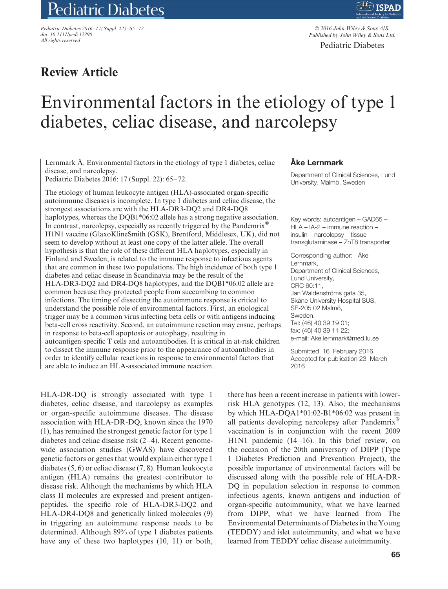# Pediatric Diabetes

*Pediatric Diabetes 2016: 17(Suppl. 22): 65–72 doi: 10.1111/pedi.12390 All rights reserved*



© *2016 John Wiley & Sons A/S. Published by John Wiley & Sons Ltd.*

Pediatric Diabetes

# **Review Article**

# Environmental factors in the etiology of type 1 diabetes, celiac disease, and narcolepsy

Lernmark  $\AA$ . Environmental factors in the etiology of type 1 diabetes, celiac disease, and narcolepsy.

Pediatric Diabetes 2016: 17 (Suppl. 22): 65–72.

The etiology of human leukocyte antigen (HLA)-associated organ-specific autoimmune diseases is incomplete. In type 1 diabetes and celiac disease, the strongest associations are with the HLA-DR3-DQ2 and DR4-DQ8 haplotypes, whereas the DQB1\*06:02 allele has a strong negative association. In contrast, narcolepsy, especially as recently triggered by the Pandemrix<sup>®</sup> H1N1 vaccine (GlaxoKlineSmith (GSK), Brentford, Middlesex, UK), did not seem to develop without at least one copy of the latter allele. The overall hypothesis is that the role of these different HLA haplotypes, especially in Finland and Sweden, is related to the immune response to infectious agents that are common in these two populations. The high incidence of both type 1 diabetes and celiac disease in Scandinavia may be the result of the HLA-DR3-DQ2 and DR4-DQ8 haplotypes, and the DQB1\*06:02 allele are common because they protected people from succumbing to common infections. The timing of dissecting the autoimmune response is critical to understand the possible role of environmental factors. First, an etiological trigger may be a common virus infecting beta cells or with antigens inducing beta-cell cross reactivity. Second, an autoimmune reaction may ensue, perhaps in response to beta-cell apoptosis or autophagy, resulting in autoantigen-specific T cells and autoantibodies. It is critical in at-risk children to dissect the immune response prior to the appearance of autoantibodies in order to identify cellular reactions in response to environmental factors that are able to induce an HLA-associated immune reaction.

HLA-DR-DQ is strongly associated with type 1 diabetes, celiac disease, and narcolepsy as examples or organ-specific autoimmune diseases. The disease association with HLA-DR-DQ, known since the 1970 (1), has remained the strongest genetic factor for type 1 diabetes and celiac disease risk (2–4). Recent genomewide association studies (GWAS) have discovered genetic factors or genes that would explain either type 1 diabetes (5, 6) or celiac disease (7, 8). Human leukocyte antigen (HLA) remains the greatest contributor to disease risk. Although the mechanisms by which HLA class II molecules are expressed and present antigenpeptides, the specific role of HLA-DR3-DQ2 and HLA-DR4-DQ8 and genetically linked molecules (9) in triggering an autoimmune response needs to be determined. Although 89% of type 1 diabetes patients have any of these two haplotypes  $(10, 11)$  or both,

# **Ake Lernmark ˚**

Department of Clinical Sciences, Lund University, Malmö, Sweden

Key words: autoantigen – GAD65 – HLA – IA-2 – immune reaction – insulin – narcolepsy – tissue transglutaminase – ZnT8 transporter

Corresponding author: Åke Lernmark, Department of Clinical Sciences, Lund University, CRC 60:11, Jan Waldenströms gata 35, Skåne University Hospital SUS, SE-205 02 Malmö, Sweden. Tel: (46) 40 39 19 01; fax: (46) 40 39 11 22; e-mail: Ake.lernmark@med.lu.se

Submitted 16 February 2016. Accepted for publication 23 March 2016

there has been a recent increase in patients with lowerrisk HLA genotypes (12, 13). Also, the mechanisms by which HLA-DQA1\*01:02-B1\*06:02 was present in all patients developing narcolepsy after Pandemrix<sup>®</sup> vaccination is in conjunction with the recent 2009 H1N1 pandemic (14–16). In this brief review, on the occasion of the 20th anniversary of DIPP (Type 1 Diabetes Prediction and Prevention Project), the possible importance of environmental factors will be discussed along with the possible role of HLA-DR-DQ in population selection in response to common infectious agents, known antigens and induction of organ-specific autoimmunity, what we have learned from DIPP, what we have learned from The Environmental Determinants of Diabetes in the Young (TEDDY) and islet autoimmunity, and what we have learned from TEDDY celiac disease autoimmunity.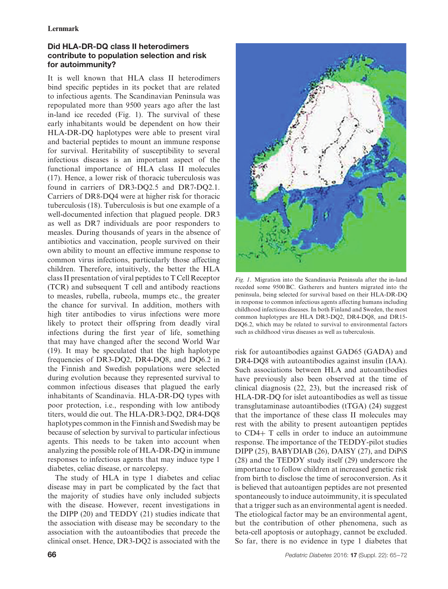# **Did HLA-DR-DQ class II heterodimers contribute to population selection and risk for autoimmunity?**

It is well known that HLA class II heterodimers bind specific peptides in its pocket that are related to infectious agents. The Scandinavian Peninsula was repopulated more than 9500 years ago after the last in-land ice receded (Fig. 1). The survival of these early inhabitants would be dependent on how their HLA-DR-DQ haplotypes were able to present viral and bacterial peptides to mount an immune response for survival. Heritability of susceptibility to several infectious diseases is an important aspect of the functional importance of HLA class II molecules (17). Hence, a lower risk of thoracic tuberculosis was found in carriers of DR3-DQ2.5 and DR7-DQ2.1. Carriers of DR8-DQ4 were at higher risk for thoracic tuberculosis (18). Tuberculosis is but one example of a well-documented infection that plagued people. DR3 as well as DR7 individuals are poor responders to measles. During thousands of years in the absence of antibiotics and vaccination, people survived on their own ability to mount an effective immune response to common virus infections, particularly those affecting children. Therefore, intuitively, the better the HLA class II presentation of viral peptides to T Cell Receptor (TCR) and subsequent T cell and antibody reactions to measles, rubella, rubeola, mumps etc., the greater the chance for survival. In addition, mothers with high titer antibodies to virus infections were more likely to protect their offspring from deadly viral infections during the first year of life, something that may have changed after the second World War (19). It may be speculated that the high haplotype frequencies of DR3-DQ2, DR4-DQ8, and DQ6.2 in the Finnish and Swedish populations were selected during evolution because they represented survival to common infectious diseases that plagued the early inhabitants of Scandinavia. HLA-DR-DQ types with poor protection, i.e., responding with low antibody titers, would die out. The HLA-DR3-DQ2, DR4-DQ8 haplotypes common in the Finnish and Swedish may be because of selection by survival to particular infectious agents. This needs to be taken into account when analyzing the possible role of HLA-DR-DQ in immune responses to infectious agents that may induce type 1 diabetes, celiac disease, or narcolepsy.

The study of HLA in type 1 diabetes and celiac disease may in part be complicated by the fact that the majority of studies have only included subjects with the disease. However, recent investigations in the DIPP (20) and TEDDY (21) studies indicate that the association with disease may be secondary to the association with the autoantibodies that precede the clinical onset. Hence, DR3-DQ2 is associated with the



Such associations between HLA and autoantibodies have previously also been observed at the time of clinical diagnosis (22, 23), but the increased risk of HLA-DR-DQ for islet autoantibodies as well as tissue transglutaminase autoantibodies (tTGA) (24) suggest that the importance of these class II molecules may rest with the ability to present autoantigen peptides to CD4+ T cells in order to induce an autoimmune response. The importance of the TEDDY-pilot studies DIPP (25), BABYDIAB (26), DAISY (27), and DiPiS (28) and the TEDDY study itself (29) underscore the importance to follow children at increased genetic risk from birth to disclose the time of seroconversion. As it is believed that autoantigen peptides are not presented spontaneously to induce autoimmunity, it is speculated that a trigger such as an environmental agent is needed. The etiological factor may be an environmental agent, but the contribution of other phenomena, such as beta-cell apoptosis or autophagy, cannot be excluded. So far, there is no evidence in type 1 diabetes that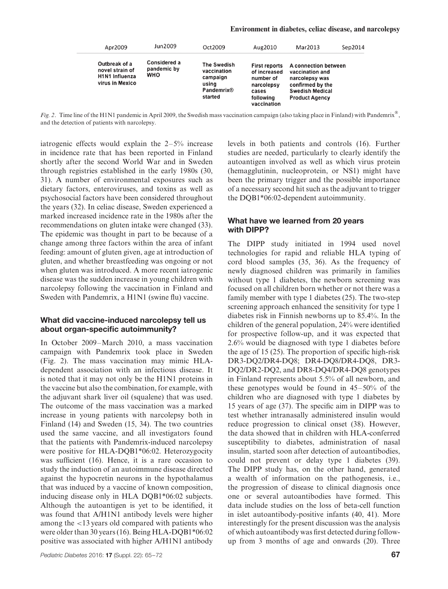| Apr2009                                                                      | Jun2009                                   | Oct2009                                                                         | Aug2010                                                                                              | Mar2013                                                                                                                          | Sep2014 |
|------------------------------------------------------------------------------|-------------------------------------------|---------------------------------------------------------------------------------|------------------------------------------------------------------------------------------------------|----------------------------------------------------------------------------------------------------------------------------------|---------|
| Outbreak of a<br>novel strain of<br><b>H1N1 Influenza</b><br>virus in Mexico | Considered a<br>pandemic by<br><b>WHO</b> | The Swedish<br>vaccination<br>campaign<br>using<br><b>Pandemrix®</b><br>started | <b>First reports</b><br>of increased<br>number of<br>narcolepsy<br>cases<br>following<br>vaccination | A connection between<br>vaccination and<br>narcolepsy was<br>confirmed by the<br><b>Swedish Medical</b><br><b>Product Agency</b> |         |

*Fig. 2*. Time line of the H1N1 pandemic in April 2009, the Swedish mass vaccination campaign (also taking place in Finland) with Pandemrix®, and the detection of patients with narcolepsy.

iatrogenic effects would explain the 2–5% increase in incidence rate that has been reported in Finland shortly after the second World War and in Sweden through registries established in the early 1980s (30, 31). A number of environmental exposures such as dietary factors, enteroviruses, and toxins as well as psychosocial factors have been considered throughout the years (32). In celiac disease, Sweden experienced a marked increased incidence rate in the 1980s after the recommendations on gluten intake were changed (33). The epidemic was thought in part to be because of a change among three factors within the area of infant feeding: amount of gluten given, age at introduction of gluten, and whether breastfeeding was ongoing or not when gluten was introduced. A more recent iatrogenic disease was the sudden increase in young children with narcolepsy following the vaccination in Finland and Sweden with Pandemrix, a H1N1 (swine flu) vaccine.

# **What did vaccine-induced narcolepsy tell us about organ-specific autoimmunity?**

In October 2009–March 2010, a mass vaccination campaign with Pandemrix took place in Sweden (Fig. 2). The mass vaccination may mimic HLAdependent association with an infectious disease. It is noted that it may not only be the H1N1 proteins in the vaccine but also the combination, for example, with the adjuvant shark liver oil (squalene) that was used. The outcome of the mass vaccination was a marked increase in young patients with narcolepsy both in Finland (14) and Sweden (15, 34). The two countries used the same vaccine, and all investigators found that the patients with Pandemrix-induced narcolepsy were positive for HLA-DQB1\*06:02. Heterozygocity was sufficient (16). Hence, it is a rare occasion to study the induction of an autoimmune disease directed against the hypocretin neurons in the hypothalamus that was induced by a vaccine of known composition, inducing disease only in HLA DQB1\*06:02 subjects. Although the autoantigen is yet to be identified, it was found that A/H1N1 antibody levels were higher among the *<*13 years old compared with patients who were older than 30 years (16). Being HLA-DQB1\*06:02 positive was associated with higher A/H1N1 antibody levels in both patients and controls (16). Further studies are needed, particularly to clearly identify the autoantigen involved as well as which virus protein (hemagglutinin, nucleoprotein, or NS1) might have been the primary trigger and the possible importance of a necessary second hit such as the adjuvant to trigger the DQB1\*06:02-dependent autoimmunity.

### **What have we learned from 20 years with DIPP?**

The DIPP study initiated in 1994 used novel technologies for rapid and reliable HLA typing of cord blood samples (35, 36). As the frequency of newly diagnosed children was primarily in families without type 1 diabetes, the newborn screening was focused on all children born whether or not there was a family member with type 1 diabetes (25). The two-step screening approach enhanced the sensitivity for type 1 diabetes risk in Finnish newborns up to 85.4%. In the children of the general population, 24% were identified for prospective follow-up, and it was expected that 2.6% would be diagnosed with type 1 diabetes before the age of 15 (25). The proportion of specific high-risk DR3-DQ2/DR4-DQ8; DR4-DQ8/DR4-DQ8, DR3- DQ2/DR2-DQ2, and DR8-DQ4/DR4-DQ8 genotypes in Finland represents about 5.5% of all newborn, and these genotypes would be found in 45–50% of the children who are diagnosed with type 1 diabetes by 15 years of age (37). The specific aim in DIPP was to test whether intranasally administered insulin would reduce progression to clinical onset (38). However, the data showed that in children with HLA-conferred susceptibility to diabetes, administration of nasal insulin, started soon after detection of autoantibodies, could not prevent or delay type 1 diabetes (39). The DIPP study has, on the other hand, generated a wealth of information on the pathogenesis, i.e., the progression of disease to clinical diagnosis once one or several autoantibodies have formed. This data include studies on the loss of beta-cell function in islet autoantibody-positive infants (40, 41). More interestingly for the present discussion was the analysis of which autoantibody was first detected during followup from 3 months of age and onwards (20). Three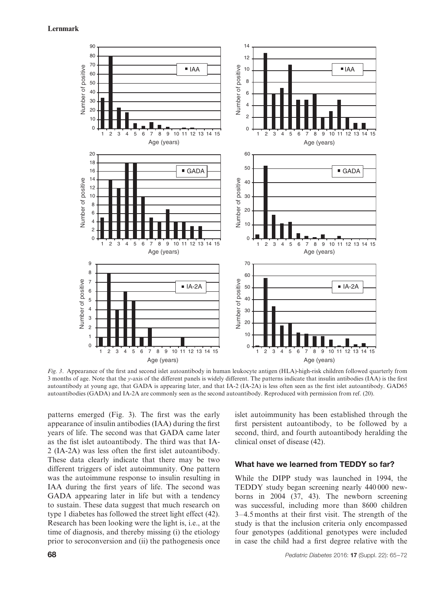

*Fig. 3*. Appearance of the first and second islet autoantibody in human leukocyte antigen (HLA)-high-risk children followed quarterly from 3 months of age. Note that the *y*-axis of the different panels is widely different. The patterns indicate that insulin antibodies (IAA) is the first autoantibody at young age, that GADA is appearing later, and that IA-2 (IA-2A) is less often seen as the first islet autoantibody. GAD65 autoantibodies (GADA) and IA-2A are commonly seen as the second autoantibody. Reproduced with permission from ref. (20).

patterns emerged (Fig. 3). The first was the early appearance of insulin antibodies (IAA) during the first years of life. The second was that GADA came later as the fist islet autoantibody. The third was that IA-2 (IA-2A) was less often the first islet autoantibody. These data clearly indicate that there may be two different triggers of islet autoimmunity. One pattern was the autoimmune response to insulin resulting in IAA during the first years of life. The second was GADA appearing later in life but with a tendency to sustain. These data suggest that much research on type 1 diabetes has followed the street light effect (42). Research has been looking were the light is, i.e., at the time of diagnosis, and thereby missing (i) the etiology prior to seroconversion and (ii) the pathogenesis once

islet autoimmunity has been established through the first persistent autoantibody, to be followed by a second, third, and fourth autoantibody heralding the clinical onset of disease (42).

# **What have we learned from TEDDY so far?**

While the DIPP study was launched in 1994, the TEDDY study began screening nearly 440 000 newborns in 2004 (37, 43). The newborn screening was successful, including more than 8600 children 3–4.5 months at their first visit. The strength of the study is that the inclusion criteria only encompassed four genotypes (additional genotypes were included in case the child had a first degree relative with the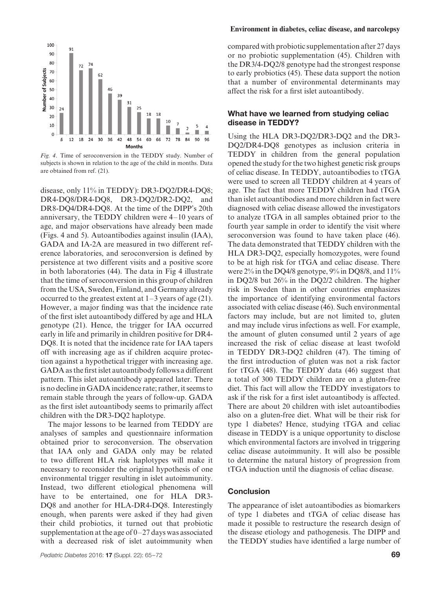

*Fig. 4*. Time of seroconversion in the TEDDY study. Number of subjects is shown in relation to the age of the child in months. Data are obtained from ref. (21).

disease, only 11% in TEDDY): DR3-DQ2/DR4-DQ8; DR4-DQ8/DR4-DQ8, DR3-DQ2/DR2-DQ2, and DR8-DQ4/DR4-DQ8. At the time of the DIPP's 20th anniversary, the TEDDY children were 4–10 years of age, and major observations have already been made (Figs. 4 and 5). Autoantibodies against insulin (IAA), GADA and IA-2A are measured in two different reference laboratories, and seroconversion is defined by persistence at two different visits and a positive score in both laboratories (44). The data in Fig 4 illustrate that the time of seroconversion in this group of children from the USA, Sweden, Finland, and Germany already occurred to the greatest extent at 1–3 years of age (21). However, a major finding was that the incidence rate of the first islet autoantibody differed by age and HLA genotype (21). Hence, the trigger for IAA occurred early in life and primarily in children positive for DR4- DQ8. It is noted that the incidence rate for IAA tapers off with increasing age as if children acquire protection against a hypothetical trigger with increasing age. GADA as the first islet autoantibody follows a different pattern. This islet autoantibody appeared later. There is no decline in GADA incidence rate; rather, it seems to remain stable through the years of follow-up. GADA as the first islet autoantibody seems to primarily affect children with the DR3-DQ2 haplotype.

The major lessons to be learned from TEDDY are analyses of samples and questionnaire information obtained prior to seroconversion. The observation that IAA only and GADA only may be related to two different HLA risk haplotypes will make it necessary to reconsider the original hypothesis of one environmental trigger resulting in islet autoimmunity. Instead, two different etiological phenomena will have to be entertained, one for HLA DR3- DQ8 and another for HLA-DR4-DQ8. Interestingly enough, when parents were asked if they had given their child probiotics, it turned out that probiotic supplementation at the age of 0–27 days was associated with a decreased risk of islet autoimmunity when

#### **Environment in diabetes, celiac disease, and narcolepsy**

compared with probiotic supplementation after 27 days or no probiotic supplementation (45). Children with the DR3/4-DQ2/8 genotype had the strongest response to early probiotics (45). These data support the notion that a number of environmental determinants may affect the risk for a first islet autoantibody.

# **What have we learned from studying celiac disease in TEDDY?**

Using the HLA DR3-DQ2/DR3-DQ2 and the DR3- DQ2/DR4-DQ8 genotypes as inclusion criteria in TEDDY in children from the general population opened the study for the two highest genetic risk groups of celiac disease. In TEDDY, autoantibodies to tTGA were used to screen all TEDDY children at 4 years of age. The fact that more TEDDY children had tTGA than islet autoantibodies and more children in fact were diagnosed with celiac disease allowed the investigators to analyze tTGA in all samples obtained prior to the fourth year sample in order to identify the visit where seroconversion was found to have taken place (46). The data demonstrated that TEDDY children with the HLA DR3-DQ2, especially homozygotes, were found to be at high risk for tTGA and celiac disease. There were 2% in the DQ4/8 genotype, 9% in DQ8/8, and 11% in DQ2/8 but 26% in the DQ2/2 children. The higher risk in Sweden than in other countries emphasizes the importance of identifying environmental factors associated with celiac disease (46). Such environmental factors may include, but are not limited to, gluten and may include virus infections as well. For example, the amount of gluten consumed until 2 years of age increased the risk of celiac disease at least twofold in TEDDY DR3-DQ2 children (47). The timing of the first introduction of gluten was not a risk factor for tTGA (48). The TEDDY data (46) suggest that a total of 300 TEDDY children are on a gluten-free diet. This fact will allow the TEDDY investigators to ask if the risk for a first islet autoantibody is affected. There are about 20 children with islet autoantibodies also on a gluten-free diet. What will be their risk for type 1 diabetes? Hence, studying tTGA and celiac disease in TEDDY is a unique opportunity to disclose which environmental factors are involved in triggering celiac disease autoimmunity. It will also be possible to determine the natural history of progression from tTGA induction until the diagnosis of celiac disease.

### **Conclusion**

The appearance of islet autoantibodies as biomarkers of type 1 diabetes and tTGA of celiac disease has made it possible to restructure the research design of the disease etiology and pathogenesis. The DIPP and the TEDDY studies have identified a large number of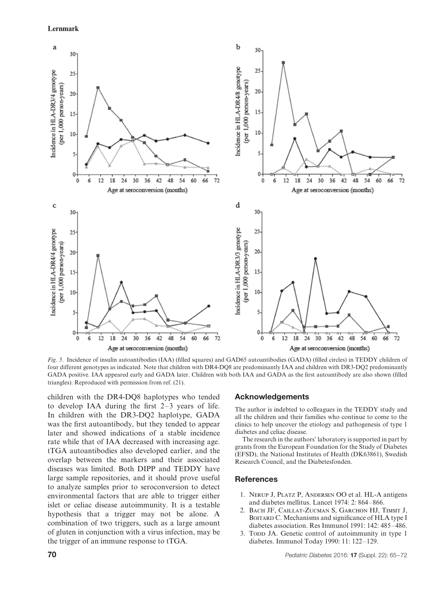#### **Lernmark**



*Fig. 5*. Incidence of insulin autoantibodies (IAA) (filled squares) and GAD65 autoantibodies (GADA) (filled circles) in TEDDY children of four different genotypes as indicated. Note that children with DR4-DQ8 are predominantly IAA and children with DR3-DQ2 predominantly GADA positive. IAA appeared early and GADA later. Children with both IAA and GADA as the first autoantibody are also shown (filled triangles). Reproduced with permission from ref. (21).

children with the DR4-DQ8 haplotypes who tended to develop IAA during the first 2–3 years of life. In children with the DR3-DQ2 haplotype, GADA was the first autoantibody, but they tended to appear later and showed indications of a stable incidence rate while that of IAA decreased with increasing age. tTGA autoantibodies also developed earlier, and the overlap between the markers and their associated diseases was limited. Both DIPP and TEDDY have large sample repositories, and it should prove useful to analyze samples prior to seroconversion to detect environmental factors that are able to trigger either islet or celiac disease autoimmunity. It is a testable hypothesis that a trigger may not be alone. A combination of two triggers, such as a large amount of gluten in conjunction with a virus infection, may be the trigger of an immune response to tTGA.

# **Acknowledgements**

The author is indebted to colleagues in the TEDDY study and all the children and their families who continue to come to the clinics to help uncover the etiology and pathogenesis of type 1 diabetes and celiac disease.

The research in the authors' laboratory is supported in part by grants from the European Foundation for the Study of Diabetes (EFSD), the National Institutes of Health (DK63861), Swedish Research Council, and the Diabetesfonden.

#### **References**

- 1. Nerup J, Platz P, Andersen OO et al. HL-A antigens and diabetes mellitus. Lancet 1974: 2: 864–866.
- 2. Bach JF, Caillat-Zucman S, Garchon HJ, Timsit J, BOITARD C. Mechanisms and significance of HLA type I diabetes association. Res Immunol 1991: 142: 485–486.
- 3. Topp JA. Genetic control of autoimmunity in type 1 diabetes. Immunol Today 1990: 11: 122–129.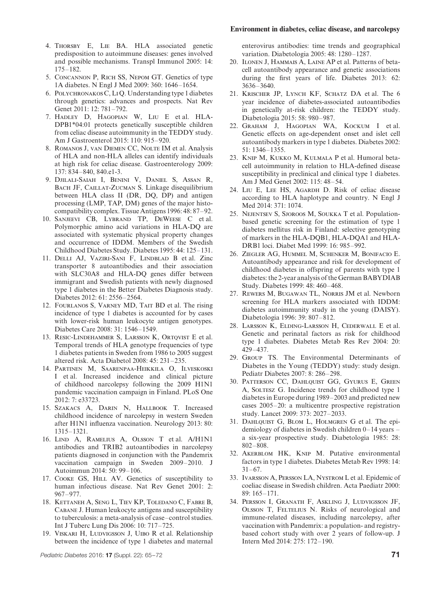#### **Environment in diabetes, celiac disease, and narcolepsy**

- 4. Thorsby E, Lie BA. HLA associated genetic predisposition to autoimmune diseases: genes involved and possible mechanisms. Transpl Immunol 2005: 14: 175–182.
- 5. Concannon P, Rich SS, Nepom GT. Genetics of type 1A diabetes. N Engl J Med 2009: 360: 1646–1654.
- 6. Polychronakos C,Li Q. Understanding type 1 diabetes through genetics: advances and prospects. Nat Rev Genet 2011: 12: 781–792.
- 7. Hadley D, Hagopian W, Liu E et al. HLA-DPB1\*04:01 protects genetically susceptible children from celiac disease autoimmunity in the TEDDY study. Am J Gastroenterol 2015: 110: 915–920.
- 8. Romanos J, van Diemen CC, Nolte IM et al. Analysis of HLA and non-HLA alleles can identify individuals at high risk for celiac disease. Gastroenterology 2009: 137: 834–840, 840.e1-3.
- 9. Djilali-Saiah I, Benini V, Daniel S, Assan R, BACH JF, CAILLAT-ZUCMAN S. Linkage disequilibrium between HLA class II (DR, DQ, DP) and antigen processing (LMP, TAP, DM) genes of the major histocompatibility complex. Tissue Antigens 1996: 48: 87–92.
- 10. Sanjeevi CB, Lybrand TP, DeWeese C et al. Polymorphic amino acid variations in HLA-DQ are associated with systematic physical property changes and occurrence of IDDM. Members of the Swedish Childhood Diabetes Study. Diabetes 1995: 44: 125–131.
- 11. Delli AJ, Vaziri-Sani F, Lindblad B et al. Zinc transporter 8 autoantibodies and their association with SLC30A8 and HLA-DQ genes differ between immigrant and Swedish patients with newly diagnosed type 1 diabetes in the Better Diabetes Diagnosis study. Diabetes 2012: 61: 2556–2564.
- 12. Fourlanos S, Varney MD, Tait BD et al. The rising incidence of type 1 diabetes is accounted for by cases with lower-risk human leukocyte antigen genotypes. Diabetes Care 2008: 31: 1546–1549.
- 13. RESIC-LINDEHAMMER S, LARSSON K, ORTQVIST E et al. Temporal trends of HLA genotype frequencies of type 1 diabetes patients in Sweden from 1986 to 2005 suggest altered risk. Acta Diabetol 2008: 45: 231–235.
- 14. Partinen M, Saarenpaa-Heikkila O, Ilveskoski I et al. Increased incidence and clinical picture of childhood narcolepsy following the 2009 H1N1 pandemic vaccination campaign in Finland. PLoS One 2012: 7: e33723.
- 15. Szakacs A, Darin N, Hallbook T. Increased childhood incidence of narcolepsy in western Sweden after H1N1 influenza vaccination. Neurology 2013: 80: 1315–1321.
- 16. Lind A, Ramelius A, Olsson T et al. A/H1N1 antibodies and TRIB2 autoantibodies in narcolepsy patients diagnosed in conjunction with the Pandemrix vaccination campaign in Sweden 2009–2010. J Autoimmun 2014: 50: 99–106.
- 17. COOKE GS, HILL AV. Genetics of susceptibility to human infectious disease. Nat Rev Genet 2001: 2: 967–977.
- 18. Kettaneh A, Seng L, Tiev KP, Toledano C, Fabre B, Cabane J. Human leukocyte antigens and susceptibility to tuberculosis: a meta-analysis of case–control studies. Int J Tuberc Lung Dis 2006: 10: 717–725.
- 19. VISKARI H, LUDVIGSSON J, UIBO R et al. Relationship between the incidence of type 1 diabetes and maternal

enterovirus antibodies: time trends and geographical variation. Diabetologia 2005: 48: 1280–1287.

- 20. Ilonen J, Hammais A, Laine AP et al. Patterns of betacell autoantibody appearance and genetic associations during the first years of life. Diabetes 2013: 62: 3636–3640.
- 21. Krischer JP, Lynch KF, Schatz DA et al. The 6 year incidence of diabetes-associated autoantibodies in genetically at-risk children: the TEDDY study. Diabetologia 2015: 58: 980–987.
- 22. Graham J, Hagopian WA, Kockum I et al. Genetic effects on age-dependent onset and islet cell autoantibody markers in type 1 diabetes. Diabetes 2002: 51: 1346–1355.
- 23. Knip M, Kukko M, Kulmala P et al. Humoral betacell autoimmunity in relation to HLA-defined disease susceptibility in preclinical and clinical type 1 diabetes. Am J Med Genet 2002: 115: 48–54.
- 24. Liu E, Lee HS, Agardh D. Risk of celiac disease according to HLA haplotype and country. N Engl J Med 2014: 371: 1074.
- 25. Nejentsev S, Sjoroos M, Soukka T et al. Populationbased genetic screening for the estimation of type 1 diabetes mellitus risk in Finland: selective genotyping of markers in the HLA-DQB1, HLA-DQA1 and HLA-DRB1 loci. Diabet Med 1999: 16: 985–992.
- 26. Ziegler AG, Hummel M, Schenker M, Bonifacio E. Autoantibody appearance and risk for development of childhood diabetes in offspring of parents with type 1 diabetes: the 2-year analysis of the German BABYDIAB Study. Diabetes 1999: 48: 460–468.
- 27. Rewers M, Bugawan TL, Norris JM et al. Newborn screening for HLA markers associated with IDDM: diabetes autoimmunity study in the young (DAISY). Diabetologia 1996: 39: 807–812.
- 28. Larsson K, Elding-Larsson H, Cederwall E et al. Genetic and perinatal factors as risk for childhood type 1 diabetes. Diabetes Metab Res Rev 2004: 20: 429–437.
- 29. Group TS. The Environmental Determinants of Diabetes in the Young (TEDDY) study: study design. Pediatr Diabetes 2007: 8: 286–298.
- 30. Patterson CC, Dahlquist GG, Gyurus E, Green A, Soltesz G. Incidence trends for childhood type 1 diabetes in Europe during 1989–2003 and predicted new cases 2005–20: a multicentre prospective registration study. Lancet 2009: 373: 2027–2033.
- 31. Dahlquist G, Blom L, Holmgren G et al. The epidemiology of diabetes in Swedish children 0–14 years – a six-year prospective study. Diabetologia 1985: 28: 802–808.
- 32. Akerblom HK, Knip M. Putative environmental factors in type 1 diabetes. Diabetes Metab Rev 1998: 14:  $31-67$ .
- 33. Ivarsson A, Persson LA, Nystrom L et al. Epidemic of coeliac disease in Swedish children. Acta Paediatr 2000:  $89 \cdot 165 - 171$
- 34. Persson I, Granath F, Askling J, Ludvigsson JF, Olsson T, Feltelius N. Risks of neurological and immune-related diseases, including narcolepsy, after vaccination with Pandemrix: a population- and registrybased cohort study with over 2 years of follow-up. J Intern Med 2014: 275: 172–190.